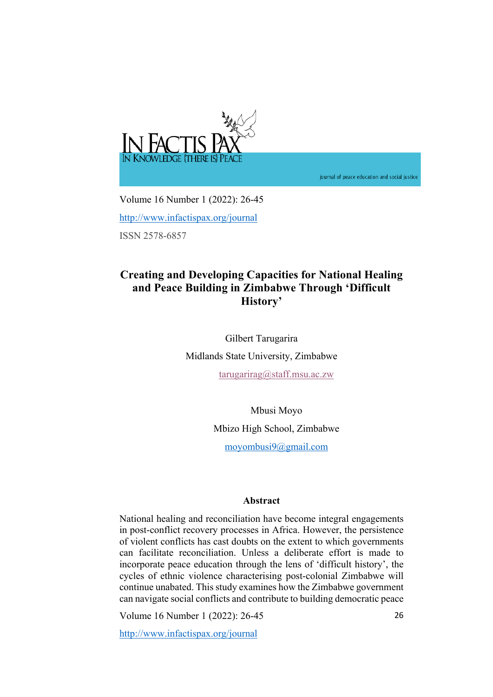

journal of peace education and social justice

Volume 16 Number 1 (2022): 26-45 http://www.infactispax.org/journal ISSN 2578-6857

# **Creating and Developing Capacities for National Healing and Peace Building in Zimbabwe Through 'Difficult History'**

Gilbert Tarugarira Midlands State University, Zimbabwe

tarugarirag@staff.msu.ac.zw

Mbusi Moyo Mbizo High School, Zimbabwe

moyombusi9@gmail.com

# **Abstract**

National healing and reconciliation have become integral engagements in post-conflict recovery processes in Africa. However, the persistence of violent conflicts has cast doubts on the extent to which governments can facilitate reconciliation. Unless a deliberate effort is made to incorporate peace education through the lens of 'difficult history', the cycles of ethnic violence characterising post-colonial Zimbabwe will continue unabated. This study examines how the Zimbabwe government can navigate social conflicts and contribute to building democratic peace

Volume 16 Number 1 (2022): 26-45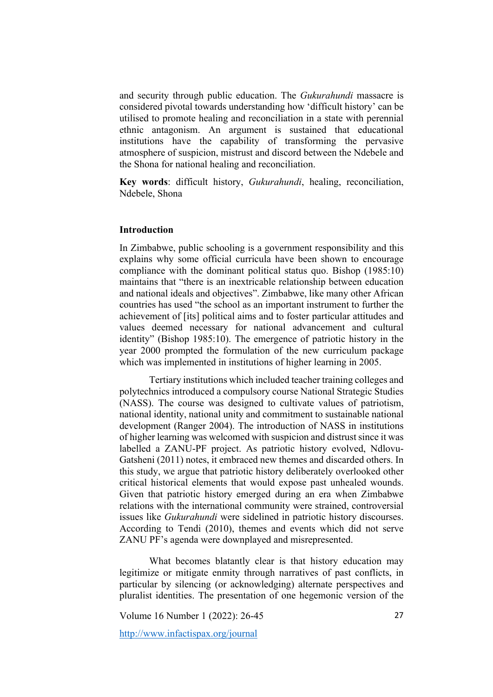and security through public education. The *Gukurahundi* massacre is considered pivotal towards understanding how 'difficult history' can be utilised to promote healing and reconciliation in a state with perennial ethnic antagonism. An argument is sustained that educational institutions have the capability of transforming the pervasive atmosphere of suspicion, mistrust and discord between the Ndebele and the Shona for national healing and reconciliation.

**Key words**: difficult history, *Gukurahundi*, healing, reconciliation, Ndebele, Shona

#### **Introduction**

In Zimbabwe, public schooling is a government responsibility and this explains why some official curricula have been shown to encourage compliance with the dominant political status quo. Bishop (1985:10) maintains that "there is an inextricable relationship between education and national ideals and objectives". Zimbabwe, like many other African countries has used "the school as an important instrument to further the achievement of [its] political aims and to foster particular attitudes and values deemed necessary for national advancement and cultural identity" (Bishop 1985:10). The emergence of patriotic history in the year 2000 prompted the formulation of the new curriculum package which was implemented in institutions of higher learning in 2005.

Tertiary institutions which included teacher training colleges and polytechnics introduced a compulsory course National Strategic Studies (NASS). The course was designed to cultivate values of patriotism, national identity, national unity and commitment to sustainable national development (Ranger 2004). The introduction of NASS in institutions of higher learning was welcomed with suspicion and distrust since it was labelled a ZANU-PF project. As patriotic history evolved, Ndlovu-Gatsheni (2011) notes, it embraced new themes and discarded others. In this study, we argue that patriotic history deliberately overlooked other critical historical elements that would expose past unhealed wounds. Given that patriotic history emerged during an era when Zimbabwe relations with the international community were strained, controversial issues like *Gukurahundi* were sidelined in patriotic history discourses. According to Tendi (2010), themes and events which did not serve ZANU PF's agenda were downplayed and misrepresented.

What becomes blatantly clear is that history education may legitimize or mitigate enmity through narratives of past conflicts, in particular by silencing (or acknowledging) alternate perspectives and pluralist identities. The presentation of one hegemonic version of the

Volume 16 Number 1 (2022): 26-45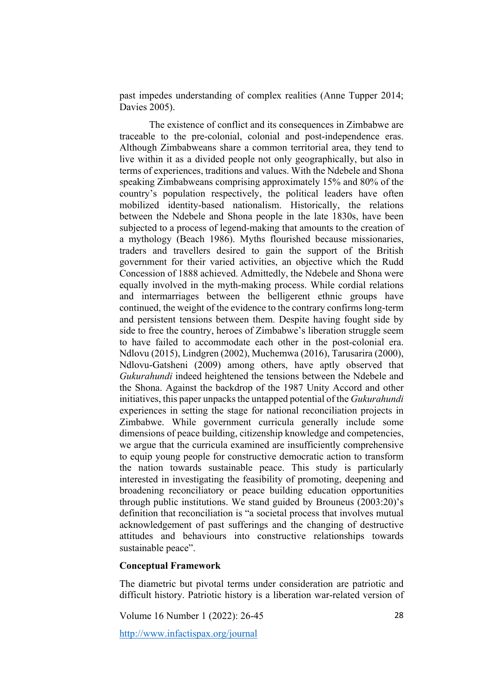past impedes understanding of complex realities (Anne Tupper 2014; Davies 2005).

The existence of conflict and its consequences in Zimbabwe are traceable to the pre-colonial, colonial and post-independence eras. Although Zimbabweans share a common territorial area, they tend to live within it as a divided people not only geographically, but also in terms of experiences, traditions and values. With the Ndebele and Shona speaking Zimbabweans comprising approximately 15% and 80% of the country's population respectively, the political leaders have often mobilized identity-based nationalism. Historically, the relations between the Ndebele and Shona people in the late 1830s, have been subjected to a process of legend-making that amounts to the creation of a mythology (Beach 1986). Myths flourished because missionaries, traders and travellers desired to gain the support of the British government for their varied activities, an objective which the Rudd Concession of 1888 achieved. Admittedly, the Ndebele and Shona were equally involved in the myth-making process. While cordial relations and intermarriages between the belligerent ethnic groups have continued, the weight of the evidence to the contrary confirms long-term and persistent tensions between them. Despite having fought side by side to free the country, heroes of Zimbabwe's liberation struggle seem to have failed to accommodate each other in the post-colonial era. Ndlovu (2015), Lindgren (2002), Muchemwa (2016), Tarusarira (2000), Ndlovu-Gatsheni (2009) among others, have aptly observed that *Gukurahundi* indeed heightened the tensions between the Ndebele and the Shona. Against the backdrop of the 1987 Unity Accord and other initiatives, this paper unpacks the untapped potential of the *Gukurahundi* experiences in setting the stage for national reconciliation projects in Zimbabwe. While government curricula generally include some dimensions of peace building, citizenship knowledge and competencies, we argue that the curricula examined are insufficiently comprehensive to equip young people for constructive democratic action to transform the nation towards sustainable peace. This study is particularly interested in investigating the feasibility of promoting, deepening and broadening reconciliatory or peace building education opportunities through public institutions. We stand guided by Brouneus (2003:20)'s definition that reconciliation is "a societal process that involves mutual acknowledgement of past sufferings and the changing of destructive attitudes and behaviours into constructive relationships towards sustainable peace".

## **Conceptual Framework**

The diametric but pivotal terms under consideration are patriotic and difficult history. Patriotic history is a liberation war-related version of

Volume 16 Number 1 (2022): 26-45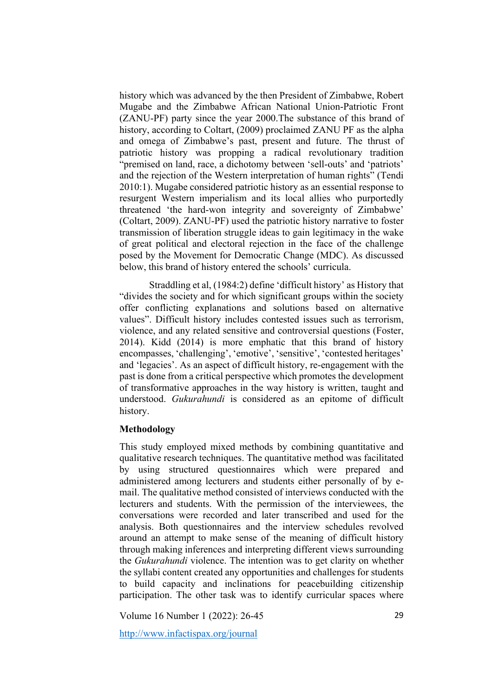history which was advanced by the then President of Zimbabwe, Robert Mugabe and the Zimbabwe African National Union-Patriotic Front (ZANU-PF) party since the year 2000.The substance of this brand of history, according to Coltart, (2009) proclaimed ZANU PF as the alpha and omega of Zimbabwe's past, present and future. The thrust of patriotic history was propping a radical revolutionary tradition "premised on land, race, a dichotomy between 'sell-outs' and 'patriots' and the rejection of the Western interpretation of human rights" (Tendi 2010:1). Mugabe considered patriotic history as an essential response to resurgent Western imperialism and its local allies who purportedly threatened 'the hard-won integrity and sovereignty of Zimbabwe' (Coltart, 2009). ZANU-PF) used the patriotic history narrative to foster transmission of liberation struggle ideas to gain legitimacy in the wake of great political and electoral rejection in the face of the challenge posed by the Movement for Democratic Change (MDC). As discussed below, this brand of history entered the schools' curricula.

Straddling et al, (1984:2) define 'difficult history' as History that "divides the society and for which significant groups within the society offer conflicting explanations and solutions based on alternative values". Difficult history includes contested issues such as terrorism, violence, and any related sensitive and controversial questions (Foster, 2014). Kidd (2014) is more emphatic that this brand of history encompasses, 'challenging', 'emotive', 'sensitive', 'contested heritages' and 'legacies'. As an aspect of difficult history, re-engagement with the past is done from a critical perspective which promotes the development of transformative approaches in the way history is written, taught and understood. *Gukurahundi* is considered as an epitome of difficult history.

#### **Methodology**

This study employed mixed methods by combining quantitative and qualitative research techniques. The quantitative method was facilitated by using structured questionnaires which were prepared and administered among lecturers and students either personally of by email. The qualitative method consisted of interviews conducted with the lecturers and students. With the permission of the interviewees, the conversations were recorded and later transcribed and used for the analysis. Both questionnaires and the interview schedules revolved around an attempt to make sense of the meaning of difficult history through making inferences and interpreting different views surrounding the *Gukurahundi* violence. The intention was to get clarity on whether the syllabi content created any opportunities and challenges for students to build capacity and inclinations for peacebuilding citizenship participation. The other task was to identify curricular spaces where

Volume 16 Number 1 (2022): 26-45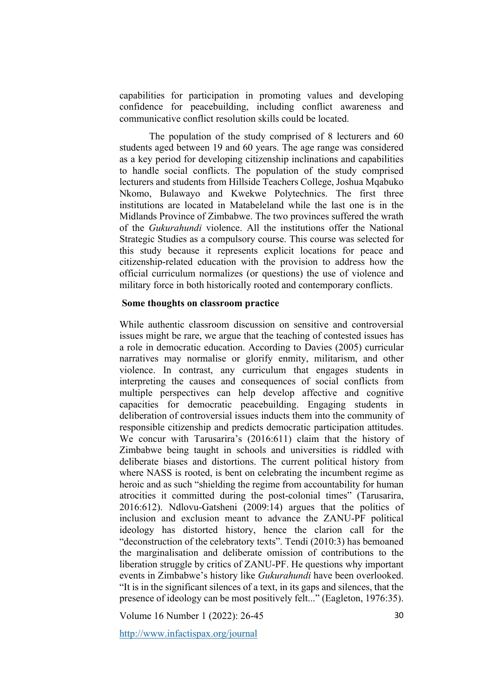capabilities for participation in promoting values and developing confidence for peacebuilding, including conflict awareness and communicative conflict resolution skills could be located.

The population of the study comprised of 8 lecturers and 60 students aged between 19 and 60 years. The age range was considered as a key period for developing citizenship inclinations and capabilities to handle social conflicts. The population of the study comprised lecturers and students from Hillside Teachers College, Joshua Mqabuko Nkomo, Bulawayo and Kwekwe Polytechnics. The first three institutions are located in Matabeleland while the last one is in the Midlands Province of Zimbabwe. The two provinces suffered the wrath of the *Gukurahundi* violence. All the institutions offer the National Strategic Studies as a compulsory course. This course was selected for this study because it represents explicit locations for peace and citizenship-related education with the provision to address how the official curriculum normalizes (or questions) the use of violence and military force in both historically rooted and contemporary conflicts.

# **Some thoughts on classroom practice**

While authentic classroom discussion on sensitive and controversial issues might be rare, we argue that the teaching of contested issues has a role in democratic education. According to Davies (2005) curricular narratives may normalise or glorify enmity, militarism, and other violence. In contrast, any curriculum that engages students in interpreting the causes and consequences of social conflicts from multiple perspectives can help develop affective and cognitive capacities for democratic peacebuilding. Engaging students in deliberation of controversial issues inducts them into the community of responsible citizenship and predicts democratic participation attitudes. We concur with Tarusarira's (2016:611) claim that the history of Zimbabwe being taught in schools and universities is riddled with deliberate biases and distortions. The current political history from where NASS is rooted, is bent on celebrating the incumbent regime as heroic and as such "shielding the regime from accountability for human atrocities it committed during the post-colonial times" (Tarusarira, 2016:612). Ndlovu-Gatsheni (2009:14) argues that the politics of inclusion and exclusion meant to advance the ZANU-PF political ideology has distorted history, hence the clarion call for the "deconstruction of the celebratory texts". Tendi (2010:3) has bemoaned the marginalisation and deliberate omission of contributions to the liberation struggle by critics of ZANU-PF. He questions why important events in Zimbabwe's history like *Gukurahundi* have been overlooked. "It is in the significant silences of a text, in its gaps and silences, that the presence of ideology can be most positively felt..." (Eagleton, 1976:35).

Volume 16 Number 1 (2022): 26-45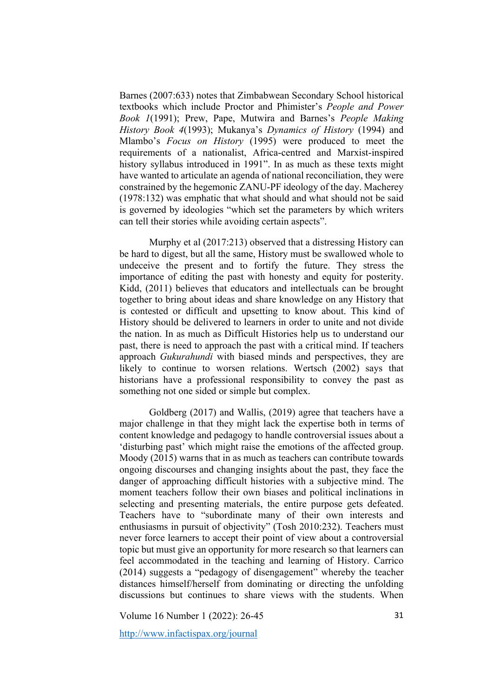Barnes (2007:633) notes that Zimbabwean Secondary School historical textbooks which include Proctor and Phimister's *People and Power Book 1*(1991); Prew, Pape, Mutwira and Barnes's *People Making History Book 4*(1993); Mukanya's *Dynamics of History* (1994) and Mlambo's *Focus on History* (1995) were produced to meet the requirements of a nationalist, Africa-centred and Marxist-inspired history syllabus introduced in 1991". In as much as these texts might have wanted to articulate an agenda of national reconciliation, they were constrained by the hegemonic ZANU-PF ideology of the day. Macherey (1978:132) was emphatic that what should and what should not be said is governed by ideologies "which set the parameters by which writers can tell their stories while avoiding certain aspects".

Murphy et al (2017:213) observed that a distressing History can be hard to digest, but all the same, History must be swallowed whole to undeceive the present and to fortify the future. They stress the importance of editing the past with honesty and equity for posterity. Kidd, (2011) believes that educators and intellectuals can be brought together to bring about ideas and share knowledge on any History that is contested or difficult and upsetting to know about. This kind of History should be delivered to learners in order to unite and not divide the nation. In as much as Difficult Histories help us to understand our past, there is need to approach the past with a critical mind. If teachers approach *Gukurahundi* with biased minds and perspectives, they are likely to continue to worsen relations. Wertsch (2002) says that historians have a professional responsibility to convey the past as something not one sided or simple but complex.

Goldberg (2017) and Wallis, (2019) agree that teachers have a major challenge in that they might lack the expertise both in terms of content knowledge and pedagogy to handle controversial issues about a 'disturbing past' which might raise the emotions of the affected group. Moody (2015) warns that in as much as teachers can contribute towards ongoing discourses and changing insights about the past, they face the danger of approaching difficult histories with a subjective mind. The moment teachers follow their own biases and political inclinations in selecting and presenting materials, the entire purpose gets defeated. Teachers have to "subordinate many of their own interests and enthusiasms in pursuit of objectivity" (Tosh 2010:232). Teachers must never force learners to accept their point of view about a controversial topic but must give an opportunity for more research so that learners can feel accommodated in the teaching and learning of History. Carrico (2014) suggests a "pedagogy of disengagement" whereby the teacher distances himself/herself from dominating or directing the unfolding discussions but continues to share views with the students. When

Volume 16 Number 1 (2022): 26-45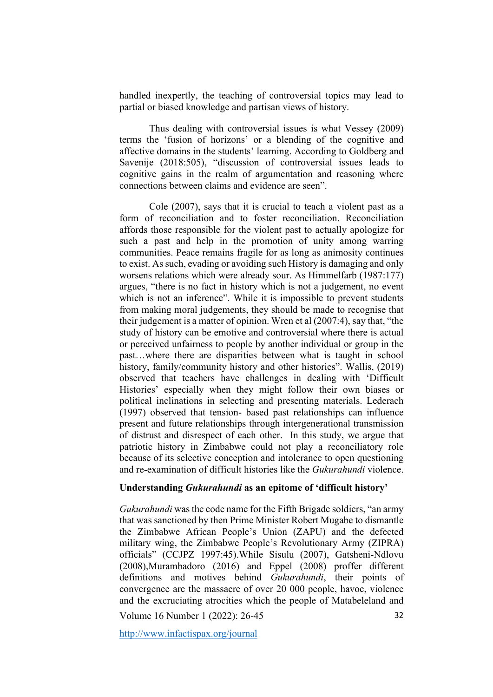handled inexpertly, the teaching of controversial topics may lead to partial or biased knowledge and partisan views of history.

Thus dealing with controversial issues is what Vessey (2009) terms the 'fusion of horizons' or a blending of the cognitive and affective domains in the students' learning. According to Goldberg and Savenije (2018:505), "discussion of controversial issues leads to cognitive gains in the realm of argumentation and reasoning where connections between claims and evidence are seen".

Cole (2007), says that it is crucial to teach a violent past as a form of reconciliation and to foster reconciliation. Reconciliation affords those responsible for the violent past to actually apologize for such a past and help in the promotion of unity among warring communities. Peace remains fragile for as long as animosity continues to exist. As such, evading or avoiding such History is damaging and only worsens relations which were already sour. As Himmelfarb (1987:177) argues, "there is no fact in history which is not a judgement, no event which is not an inference". While it is impossible to prevent students from making moral judgements, they should be made to recognise that their judgement is a matter of opinion. Wren et al (2007:4), say that, "the study of history can be emotive and controversial where there is actual or perceived unfairness to people by another individual or group in the past…where there are disparities between what is taught in school history, family/community history and other histories". Wallis, (2019) observed that teachers have challenges in dealing with 'Difficult Histories' especially when they might follow their own biases or political inclinations in selecting and presenting materials. Lederach (1997) observed that tension- based past relationships can influence present and future relationships through intergenerational transmission of distrust and disrespect of each other. In this study, we argue that patriotic history in Zimbabwe could not play a reconciliatory role because of its selective conception and intolerance to open questioning and re-examination of difficult histories like the *Gukurahundi* violence.

### **Understanding** *Gukurahundi* **as an epitome of 'difficult history'**

*Gukurahundi* was the code name for the Fifth Brigade soldiers, "an army that was sanctioned by then Prime Minister Robert Mugabe to dismantle the Zimbabwe African People's Union (ZAPU) and the defected military wing, the Zimbabwe People's Revolutionary Army (ZIPRA) officials" (CCJPZ 1997:45).While Sisulu (2007), Gatsheni-Ndlovu (2008),Murambadoro (2016) and Eppel (2008) proffer different definitions and motives behind *Gukurahundi*, their points of convergence are the massacre of over 20 000 people, havoc, violence and the excruciating atrocities which the people of Matabeleland and

Volume 16 Number 1 (2022): 26-45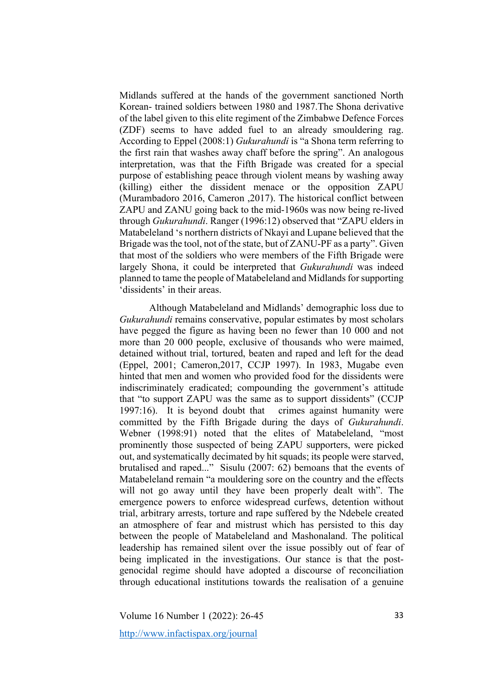Midlands suffered at the hands of the government sanctioned North Korean- trained soldiers between 1980 and 1987.The Shona derivative of the label given to this elite regiment of the Zimbabwe Defence Forces (ZDF) seems to have added fuel to an already smouldering rag. According to Eppel (2008:1) *Gukurahundi* is "a Shona term referring to the first rain that washes away chaff before the spring". An analogous interpretation, was that the Fifth Brigade was created for a special purpose of establishing peace through violent means by washing away (killing) either the dissident menace or the opposition ZAPU (Murambadoro 2016, Cameron ,2017). The historical conflict between ZAPU and ZANU going back to the mid-1960s was now being re-lived through *Gukurahundi*. Ranger (1996:12) observed that "ZAPU elders in Matabeleland 's northern districts of Nkayi and Lupane believed that the Brigade was the tool, not of the state, but of ZANU-PF as a party". Given that most of the soldiers who were members of the Fifth Brigade were largely Shona, it could be interpreted that *Gukurahundi* was indeed planned to tame the people of Matabeleland and Midlands for supporting 'dissidents' in their areas.

Although Matabeleland and Midlands' demographic loss due to *Gukurahundi* remains conservative, popular estimates by most scholars have pegged the figure as having been no fewer than 10 000 and not more than 20 000 people, exclusive of thousands who were maimed, detained without trial, tortured, beaten and raped and left for the dead (Eppel, 2001; Cameron,2017, CCJP 1997). In 1983, Mugabe even hinted that men and women who provided food for the dissidents were indiscriminately eradicated; compounding the government's attitude that "to support ZAPU was the same as to support dissidents" (CCJP 1997:16). It is beyond doubt that crimes against humanity were committed by the Fifth Brigade during the days of *Gukurahundi*. Webner (1998:91) noted that the elites of Matabeleland, "most prominently those suspected of being ZAPU supporters, were picked out, and systematically decimated by hit squads; its people were starved, brutalised and raped..." Sisulu (2007: 62) bemoans that the events of Matabeleland remain "a mouldering sore on the country and the effects will not go away until they have been properly dealt with". The emergence powers to enforce widespread curfews, detention without trial, arbitrary arrests, torture and rape suffered by the Ndebele created an atmosphere of fear and mistrust which has persisted to this day between the people of Matabeleland and Mashonaland. The political leadership has remained silent over the issue possibly out of fear of being implicated in the investigations. Our stance is that the postgenocidal regime should have adopted a discourse of reconciliation through educational institutions towards the realisation of a genuine

Volume 16 Number 1 (2022): 26-45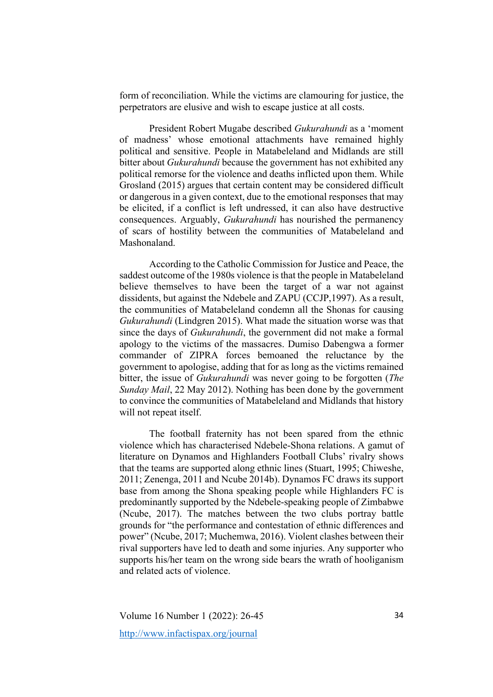form of reconciliation. While the victims are clamouring for justice, the perpetrators are elusive and wish to escape justice at all costs.

President Robert Mugabe described *Gukurahundi* as a 'moment of madness' whose emotional attachments have remained highly political and sensitive. People in Matabeleland and Midlands are still bitter about *Gukurahundi* because the government has not exhibited any political remorse for the violence and deaths inflicted upon them. While Grosland (2015) argues that certain content may be considered difficult or dangerous in a given context, due to the emotional responses that may be elicited, if a conflict is left undressed, it can also have destructive consequences. Arguably, *Gukurahundi* has nourished the permanency of scars of hostility between the communities of Matabeleland and Mashonaland.

According to the Catholic Commission for Justice and Peace, the saddest outcome of the 1980s violence is that the people in Matabeleland believe themselves to have been the target of a war not against dissidents, but against the Ndebele and ZAPU (CCJP,1997). As a result, the communities of Matabeleland condemn all the Shonas for causing *Gukurahundi* (Lindgren 2015). What made the situation worse was that since the days of *Gukurahundi*, the government did not make a formal apology to the victims of the massacres. Dumiso Dabengwa a former commander of ZIPRA forces bemoaned the reluctance by the government to apologise, adding that for as long as the victims remained bitter, the issue of *Gukurahundi* was never going to be forgotten (*The Sunday Mail*, 22 May 2012). Nothing has been done by the government to convince the communities of Matabeleland and Midlands that history will not repeat itself.

The football fraternity has not been spared from the ethnic violence which has characterised Ndebele-Shona relations. A gamut of literature on Dynamos and Highlanders Football Clubs' rivalry shows that the teams are supported along ethnic lines (Stuart, 1995; Chiweshe, 2011; Zenenga, 2011 and Ncube 2014b). Dynamos FC draws its support base from among the Shona speaking people while Highlanders FC is predominantly supported by the Ndebele-speaking people of Zimbabwe (Ncube, 2017). The matches between the two clubs portray battle grounds for "the performance and contestation of ethnic differences and power" (Ncube, 2017; Muchemwa, 2016). Violent clashes between their rival supporters have led to death and some injuries. Any supporter who supports his/her team on the wrong side bears the wrath of hooliganism and related acts of violence.

Volume 16 Number 1 (2022): 26-45 http://www.infactispax.org/journal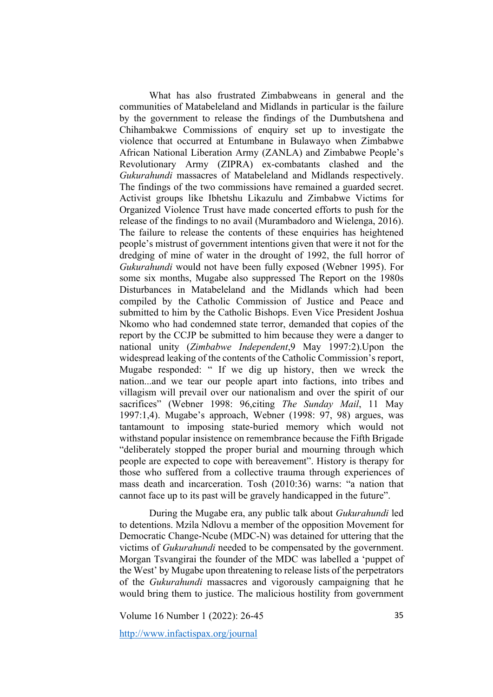What has also frustrated Zimbabweans in general and the communities of Matabeleland and Midlands in particular is the failure by the government to release the findings of the Dumbutshena and Chihambakwe Commissions of enquiry set up to investigate the violence that occurred at Entumbane in Bulawayo when Zimbabwe African National Liberation Army (ZANLA) and Zimbabwe People's Revolutionary Army (ZIPRA) ex-combatants clashed and the *Gukurahundi* massacres of Matabeleland and Midlands respectively. The findings of the two commissions have remained a guarded secret. Activist groups like Ibhetshu Likazulu and Zimbabwe Victims for Organized Violence Trust have made concerted efforts to push for the release of the findings to no avail (Murambadoro and Wielenga, 2016). The failure to release the contents of these enquiries has heightened people's mistrust of government intentions given that were it not for the dredging of mine of water in the drought of 1992, the full horror of *Gukurahundi* would not have been fully exposed (Webner 1995). For some six months, Mugabe also suppressed The Report on the 1980s Disturbances in Matabeleland and the Midlands which had been compiled by the Catholic Commission of Justice and Peace and submitted to him by the Catholic Bishops. Even Vice President Joshua Nkomo who had condemned state terror, demanded that copies of the report by the CCJP be submitted to him because they were a danger to national unity (*Zimbabwe Independent*,9 May 1997:2).Upon the widespread leaking of the contents of the Catholic Commission's report, Mugabe responded: " If we dig up history, then we wreck the nation...and we tear our people apart into factions, into tribes and villagism will prevail over our nationalism and over the spirit of our sacrifices" (Webner 1998: 96,citing *The Sunday Mail*, 11 May 1997:1,4). Mugabe's approach, Webner (1998: 97, 98) argues, was tantamount to imposing state-buried memory which would not withstand popular insistence on remembrance because the Fifth Brigade "deliberately stopped the proper burial and mourning through which people are expected to cope with bereavement". History is therapy for those who suffered from a collective trauma through experiences of mass death and incarceration. Tosh (2010:36) warns: "a nation that cannot face up to its past will be gravely handicapped in the future".

During the Mugabe era, any public talk about *Gukurahundi* led to detentions. Mzila Ndlovu a member of the opposition Movement for Democratic Change-Ncube (MDC-N) was detained for uttering that the victims of *Gukurahundi* needed to be compensated by the government. Morgan Tsvangirai the founder of the MDC was labelled a 'puppet of the West' by Mugabe upon threatening to release lists of the perpetrators of the *Gukurahundi* massacres and vigorously campaigning that he would bring them to justice. The malicious hostility from government

Volume 16 Number 1 (2022): 26-45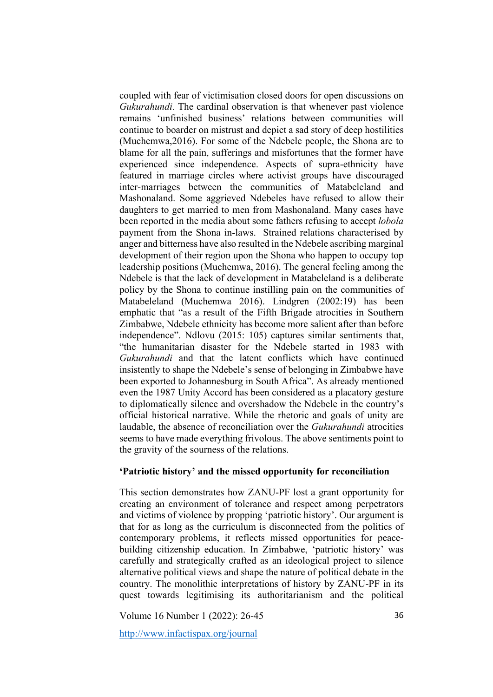coupled with fear of victimisation closed doors for open discussions on *Gukurahundi*. The cardinal observation is that whenever past violence remains 'unfinished business' relations between communities will continue to boarder on mistrust and depict a sad story of deep hostilities (Muchemwa,2016). For some of the Ndebele people, the Shona are to blame for all the pain, sufferings and misfortunes that the former have experienced since independence. Aspects of supra-ethnicity have featured in marriage circles where activist groups have discouraged inter-marriages between the communities of Matabeleland and Mashonaland. Some aggrieved Ndebeles have refused to allow their daughters to get married to men from Mashonaland. Many cases have been reported in the media about some fathers refusing to accept *lobola* payment from the Shona in-laws. Strained relations characterised by anger and bitterness have also resulted in the Ndebele ascribing marginal development of their region upon the Shona who happen to occupy top leadership positions (Muchemwa, 2016). The general feeling among the Ndebele is that the lack of development in Matabeleland is a deliberate policy by the Shona to continue instilling pain on the communities of Matabeleland (Muchemwa 2016). Lindgren (2002:19) has been emphatic that "as a result of the Fifth Brigade atrocities in Southern Zimbabwe, Ndebele ethnicity has become more salient after than before independence". Ndlovu (2015: 105) captures similar sentiments that, "the humanitarian disaster for the Ndebele started in 1983 with *Gukurahundi* and that the latent conflicts which have continued insistently to shape the Ndebele's sense of belonging in Zimbabwe have been exported to Johannesburg in South Africa". As already mentioned even the 1987 Unity Accord has been considered as a placatory gesture to diplomatically silence and overshadow the Ndebele in the country's official historical narrative. While the rhetoric and goals of unity are laudable, the absence of reconciliation over the *Gukurahundi* atrocities seems to have made everything frivolous. The above sentiments point to the gravity of the sourness of the relations.

## **'Patriotic history' and the missed opportunity for reconciliation**

This section demonstrates how ZANU-PF lost a grant opportunity for creating an environment of tolerance and respect among perpetrators and victims of violence by propping 'patriotic history'. Our argument is that for as long as the curriculum is disconnected from the politics of contemporary problems, it reflects missed opportunities for peacebuilding citizenship education. In Zimbabwe, 'patriotic history' was carefully and strategically crafted as an ideological project to silence alternative political views and shape the nature of political debate in the country. The monolithic interpretations of history by ZANU-PF in its quest towards legitimising its authoritarianism and the political

Volume 16 Number 1 (2022): 26-45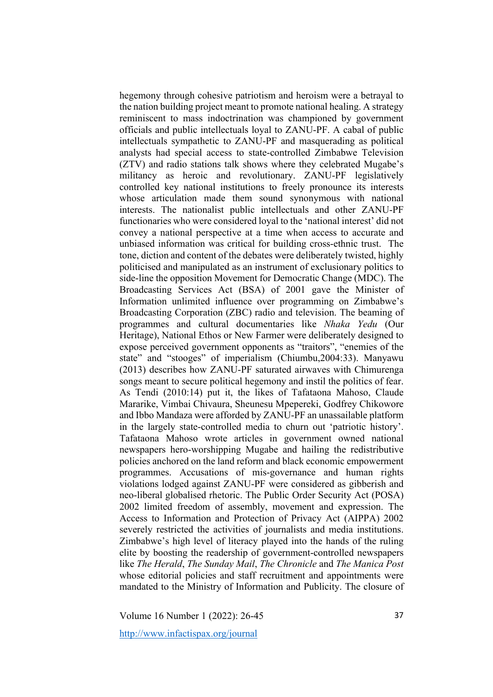hegemony through cohesive patriotism and heroism were a betrayal to the nation building project meant to promote national healing. A strategy reminiscent to mass indoctrination was championed by government officials and public intellectuals loyal to ZANU-PF. A cabal of public intellectuals sympathetic to ZANU-PF and masquerading as political analysts had special access to state-controlled Zimbabwe Television (ZTV) and radio stations talk shows where they celebrated Mugabe's militancy as heroic and revolutionary. ZANU-PF legislatively controlled key national institutions to freely pronounce its interests whose articulation made them sound synonymous with national interests. The nationalist public intellectuals and other ZANU-PF functionaries who were considered loyal to the 'national interest' did not convey a national perspective at a time when access to accurate and unbiased information was critical for building cross-ethnic trust. The tone, diction and content of the debates were deliberately twisted, highly politicised and manipulated as an instrument of exclusionary politics to side-line the opposition Movement for Democratic Change (MDC). The Broadcasting Services Act (BSA) of 2001 gave the Minister of Information unlimited influence over programming on Zimbabwe's Broadcasting Corporation (ZBC) radio and television. The beaming of programmes and cultural documentaries like *Nhaka Yedu* (Our Heritage), National Ethos or New Farmer were deliberately designed to expose perceived government opponents as "traitors", "enemies of the state" and "stooges" of imperialism (Chiumbu,2004:33). Manyawu (2013) describes how ZANU-PF saturated airwaves with Chimurenga songs meant to secure political hegemony and instil the politics of fear. As Tendi (2010:14) put it, the likes of Tafataona Mahoso, Claude Mararike, Vimbai Chivaura, Sheunesu Mpepereki, Godfrey Chikowore and Ibbo Mandaza were afforded by ZANU-PF an unassailable platform in the largely state-controlled media to churn out 'patriotic history'. Tafataona Mahoso wrote articles in government owned national newspapers hero-worshipping Mugabe and hailing the redistributive policies anchored on the land reform and black economic empowerment programmes. Accusations of mis-governance and human rights violations lodged against ZANU-PF were considered as gibberish and neo-liberal globalised rhetoric. The Public Order Security Act (POSA) 2002 limited freedom of assembly, movement and expression. The Access to Information and Protection of Privacy Act (AIPPA) 2002 severely restricted the activities of journalists and media institutions. Zimbabwe's high level of literacy played into the hands of the ruling elite by boosting the readership of government-controlled newspapers like *The Herald*, *The Sunday Mail*, *The Chronicle* and *The Manica Post* whose editorial policies and staff recruitment and appointments were mandated to the Ministry of Information and Publicity. The closure of

Volume 16 Number 1 (2022): 26-45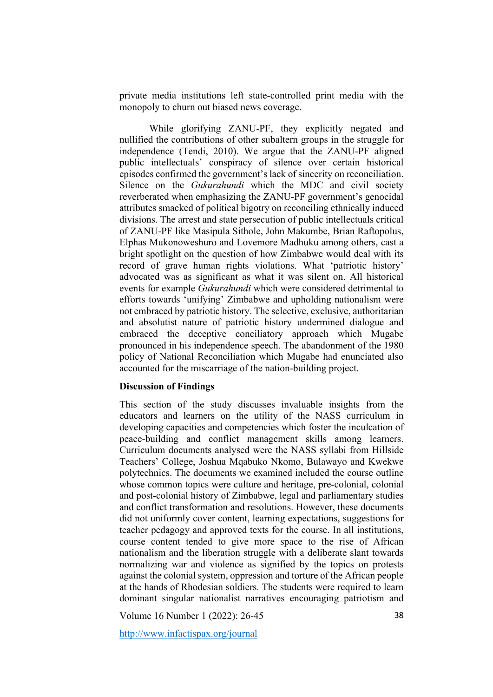private media institutions left state-controlled print media with the monopoly to churn out biased news coverage.

While glorifying ZANU-PF, they explicitly negated and nullified the contributions of other subaltern groups in the struggle for independence (Tendi, 2010). We argue that the ZANU-PF aligned public intellectuals' conspiracy of silence over certain historical episodes confirmed the government's lack of sincerity on reconciliation. Silence on the *Gukurahundi* which the MDC and civil society reverberated when emphasizing the ZANU-PF government's genocidal attributes smacked of political bigotry on reconciling ethnically induced divisions. The arrest and state persecution of public intellectuals critical of ZANU-PF like Masipula Sithole, John Makumbe, Brian Raftopolus, Elphas Mukonoweshuro and Lovemore Madhuku among others, cast a bright spotlight on the question of how Zimbabwe would deal with its record of grave human rights violations. What 'patriotic history' advocated was as significant as what it was silent on. All historical events for example *Gukurahundi* which were considered detrimental to efforts towards 'unifying' Zimbabwe and upholding nationalism were not embraced by patriotic history. The selective, exclusive, authoritarian and absolutist nature of patriotic history undermined dialogue and embraced the deceptive conciliatory approach which Mugabe pronounced in his independence speech. The abandonment of the 1980 policy of National Reconciliation which Mugabe had enunciated also accounted for the miscarriage of the nation-building project.

#### **Discussion of Findings**

This section of the study discusses invaluable insights from the educators and learners on the utility of the NASS curriculum in developing capacities and competencies which foster the inculcation of peace-building and conflict management skills among learners. Curriculum documents analysed were the NASS syllabi from Hillside Teachers' College, Joshua Mqabuko Nkomo, Bulawayo and Kwekwe polytechnics. The documents we examined included the course outline whose common topics were culture and heritage, pre-colonial, colonial and post-colonial history of Zimbabwe, legal and parliamentary studies and conflict transformation and resolutions. However, these documents did not uniformly cover content, learning expectations, suggestions for teacher pedagogy and approved texts for the course. In all institutions, course content tended to give more space to the rise of African nationalism and the liberation struggle with a deliberate slant towards normalizing war and violence as signified by the topics on protests against the colonial system, oppression and torture of the African people at the hands of Rhodesian soldiers. The students were required to learn dominant singular nationalist narratives encouraging patriotism and

Volume 16 Number 1 (2022): 26-45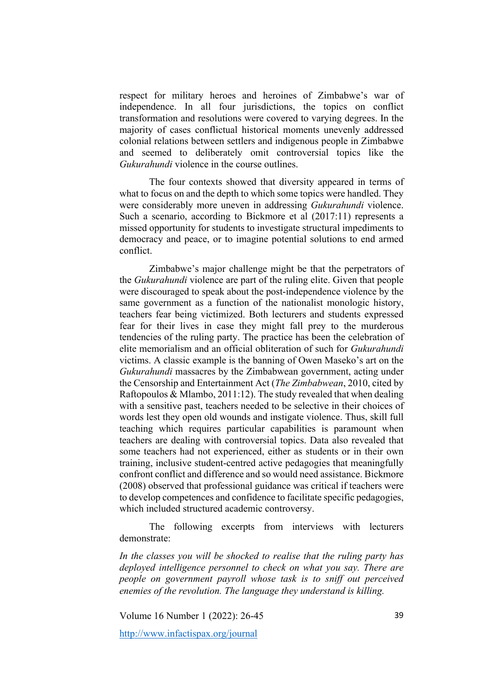respect for military heroes and heroines of Zimbabwe's war of independence. In all four jurisdictions, the topics on conflict transformation and resolutions were covered to varying degrees. In the majority of cases conflictual historical moments unevenly addressed colonial relations between settlers and indigenous people in Zimbabwe and seemed to deliberately omit controversial topics like the *Gukurahundi* violence in the course outlines.

The four contexts showed that diversity appeared in terms of what to focus on and the depth to which some topics were handled. They were considerably more uneven in addressing *Gukurahundi* violence. Such a scenario, according to Bickmore et al (2017:11) represents a missed opportunity for students to investigate structural impediments to democracy and peace, or to imagine potential solutions to end armed conflict.

Zimbabwe's major challenge might be that the perpetrators of the *Gukurahundi* violence are part of the ruling elite. Given that people were discouraged to speak about the post-independence violence by the same government as a function of the nationalist monologic history, teachers fear being victimized. Both lecturers and students expressed fear for their lives in case they might fall prey to the murderous tendencies of the ruling party. The practice has been the celebration of elite memorialism and an official obliteration of such for *Gukurahundi* victims. A classic example is the banning of Owen Maseko's art on the *Gukurahundi* massacres by the Zimbabwean government, acting under the Censorship and Entertainment Act (*The Zimbabwean*, 2010, cited by Raftopoulos & Mlambo, 2011:12). The study revealed that when dealing with a sensitive past, teachers needed to be selective in their choices of words lest they open old wounds and instigate violence. Thus, skill full teaching which requires particular capabilities is paramount when teachers are dealing with controversial topics. Data also revealed that some teachers had not experienced, either as students or in their own training, inclusive student-centred active pedagogies that meaningfully confront conflict and difference and so would need assistance. Bickmore (2008) observed that professional guidance was critical if teachers were to develop competences and confidence to facilitate specific pedagogies, which included structured academic controversy.

The following excerpts from interviews with lecturers demonstrate:

*In the classes you will be shocked to realise that the ruling party has deployed intelligence personnel to check on what you say. There are people on government payroll whose task is to sniff out perceived enemies of the revolution. The language they understand is killing.*

Volume 16 Number 1 (2022): 26-45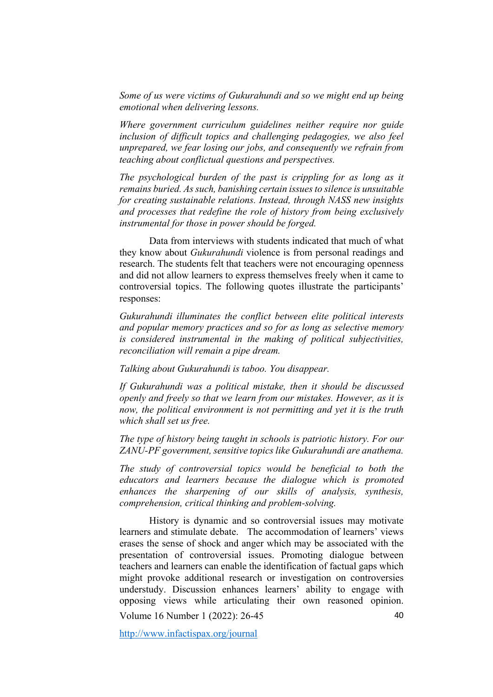*Some of us were victims of Gukurahundi and so we might end up being emotional when delivering lessons.*

*Where government curriculum guidelines neither require nor guide inclusion of difficult topics and challenging pedagogies, we also feel unprepared, we fear losing our jobs, and consequently we refrain from teaching about conflictual questions and perspectives.*

*The psychological burden of the past is crippling for as long as it remains buried. As such, banishing certain issues to silence is unsuitable for creating sustainable relations. Instead, through NASS new insights and processes that redefine the role of history from being exclusively instrumental for those in power should be forged.* 

Data from interviews with students indicated that much of what they know about *Gukurahundi* violence is from personal readings and research. The students felt that teachers were not encouraging openness and did not allow learners to express themselves freely when it came to controversial topics. The following quotes illustrate the participants' responses:

*Gukurahundi illuminates the conflict between elite political interests and popular memory practices and so for as long as selective memory is considered instrumental in the making of political subjectivities, reconciliation will remain a pipe dream.* 

*Talking about Gukurahundi is taboo. You disappear.*

*If Gukurahundi was a political mistake, then it should be discussed openly and freely so that we learn from our mistakes. However, as it is now, the political environment is not permitting and yet it is the truth which shall set us free.*

*The type of history being taught in schools is patriotic history. For our ZANU-PF government, sensitive topics like Gukurahundi are anathema.*

*The study of controversial topics would be beneficial to both the educators and learners because the dialogue which is promoted enhances the sharpening of our skills of analysis, synthesis, comprehension, critical thinking and problem-solving.* 

Volume 16 Number 1 (2022): 26-45 40 History is dynamic and so controversial issues may motivate learners and stimulate debate. The accommodation of learners' views erases the sense of shock and anger which may be associated with the presentation of controversial issues. Promoting dialogue between teachers and learners can enable the identification of factual gaps which might provoke additional research or investigation on controversies understudy. Discussion enhances learners' ability to engage with opposing views while articulating their own reasoned opinion.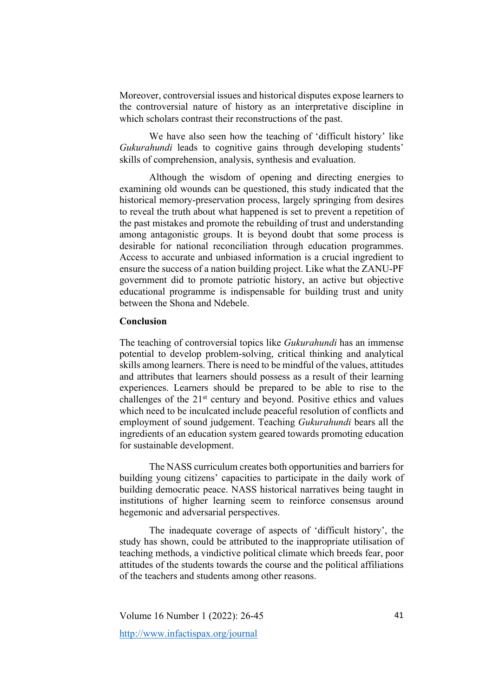Moreover, controversial issues and historical disputes expose learners to the controversial nature of history as an interpretative discipline in which scholars contrast their reconstructions of the past.

We have also seen how the teaching of 'difficult history' like *Gukurahundi* leads to cognitive gains through developing students' skills of comprehension, analysis, synthesis and evaluation.

Although the wisdom of opening and directing energies to examining old wounds can be questioned, this study indicated that the historical memory-preservation process, largely springing from desires to reveal the truth about what happened is set to prevent a repetition of the past mistakes and promote the rebuilding of trust and understanding among antagonistic groups. It is beyond doubt that some process is desirable for national reconciliation through education programmes. Access to accurate and unbiased information is a crucial ingredient to ensure the success of a nation building project. Like what the ZANU-PF government did to promote patriotic history, an active but objective educational programme is indispensable for building trust and unity between the Shona and Ndebele.

# **Conclusion**

The teaching of controversial topics like *Gukurahundi* has an immense potential to develop problem-solving, critical thinking and analytical skills among learners. There is need to be mindful of the values, attitudes and attributes that learners should possess as a result of their learning experiences. Learners should be prepared to be able to rise to the challenges of the 21<sup>st</sup> century and beyond. Positive ethics and values which need to be inculcated include peaceful resolution of conflicts and employment of sound judgement. Teaching *Gukurahundi* bears all the ingredients of an education system geared towards promoting education for sustainable development.

The NASS curriculum creates both opportunities and barriers for building young citizens' capacities to participate in the daily work of building democratic peace. NASS historical narratives being taught in institutions of higher learning seem to reinforce consensus around hegemonic and adversarial perspectives.

The inadequate coverage of aspects of 'difficult history', the study has shown, could be attributed to the inappropriate utilisation of teaching methods, a vindictive political climate which breeds fear, poor attitudes of the students towards the course and the political affiliations of the teachers and students among other reasons.

Volume 16 Number 1 (2022): 26-45 http://www.infactispax.org/journal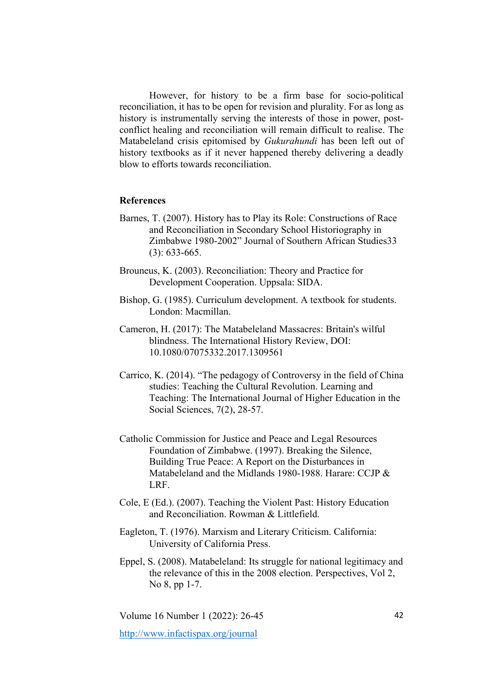However, for history to be a firm base for socio-political reconciliation, it has to be open for revision and plurality. For as long as history is instrumentally serving the interests of those in power, postconflict healing and reconciliation will remain difficult to realise. The Matabeleland crisis epitomised by *Gukurahundi* has been left out of history textbooks as if it never happened thereby delivering a deadly blow to efforts towards reconciliation.

## **References**

- Barnes, T. (2007). History has to Play its Role: Constructions of Race and Reconciliation in Secondary School Historiography in Zimbabwe 1980-2002" Journal of Southern African Studies33 (3): 633-665.
- Brouneus, K. (2003). Reconciliation: Theory and Practice for Development Cooperation. Uppsala: SIDA.
- Bishop, G. (1985). Curriculum development. A textbook for students. London: Macmillan.
- Cameron, H. (2017): The Matabeleland Massacres: Britain's wilful blindness. The International History Review, DOI: 10.1080/07075332.2017.1309561
- Carrico, K. (2014). "The pedagogy of Controversy in the field of China studies: Teaching the Cultural Revolution. Learning and Teaching: The International Journal of Higher Education in the Social Sciences, 7(2), 28-57.
- Catholic Commission for Justice and Peace and Legal Resources Foundation of Zimbabwe. (1997). Breaking the Silence, Building True Peace: A Report on the Disturbances in Matabeleland and the Midlands 1980-1988. Harare: CCJP & LRF.
- Cole, E (Ed.). (2007). Teaching the Violent Past: History Education and Reconciliation. Rowman & Littlefield.
- Eagleton, T. (1976). Marxism and Literary Criticism. California: University of California Press.
- Eppel, S. (2008). Matabeleland: Its struggle for national legitimacy and the relevance of this in the 2008 election. Perspectives, Vol 2, No 8, pp 1-7.

Volume 16 Number 1 (2022): 26-45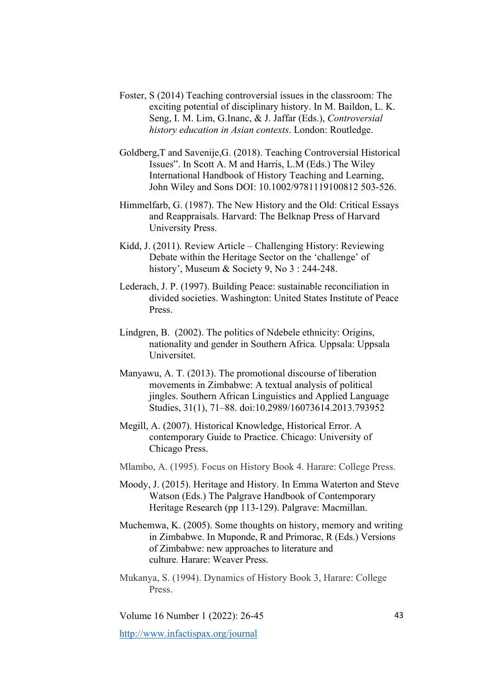- Foster, S (2014) Teaching controversial issues in the classroom: The exciting potential of disciplinary history. In M. Baildon, L. K. Seng, I. M. Lim, G.Inanc, & J. Jaffar (Eds.), *Controversial history education in Asian contexts*. London: Routledge.
- Goldberg,T and Savenije,G. (2018). Teaching Controversial Historical Issues". In Scott A. M and Harris, L.M (Eds.) The Wiley International Handbook of History Teaching and Learning, John Wiley and Sons DOI: 10.1002/9781119100812 503-526.
- Himmelfarb, G. (1987). The New History and the Old: Critical Essays and Reappraisals. Harvard: The Belknap Press of Harvard University Press.
- Kidd, J. (2011). Review Article Challenging History: Reviewing Debate within the Heritage Sector on the 'challenge' of history', Museum & Society 9, No 3 : 244-248.
- Lederach, J. P. (1997). Building Peace: sustainable reconciliation in divided societies. Washington: United States Institute of Peace Press.
- Lindgren, B. (2002). The politics of Ndebele ethnicity: Origins, nationality and gender in Southern Africa*.* Uppsala: Uppsala Universitet.
- Manyawu, A. T. (2013). The promotional discourse of liberation movements in Zimbabwe: A textual analysis of political jingles. Southern African Linguistics and Applied Language Studies, 31(1), 71–88. doi:10.2989/16073614.2013.793952
- Megill, A. (2007). Historical Knowledge, Historical Error. A contemporary Guide to Practice. Chicago: University of Chicago Press.
- Mlambo, A. (1995). Focus on History Book 4. Harare: College Press.
- Moody, J. (2015). Heritage and History. In Emma Waterton and Steve Watson (Eds.) The Palgrave Handbook of Contemporary Heritage Research (pp 113-129). Palgrave: Macmillan.
- Muchemwa, K. (2005). Some thoughts on history, memory and writing in Zimbabwe. In Muponde, R and Primorac, R (Eds.) Versions of Zimbabwe: new approaches to literature and culture*.* Harare: Weaver Press.
- Mukanya, S. (1994). Dynamics of History Book 3, Harare: College Press.

Volume 16 Number 1 (2022): 26-45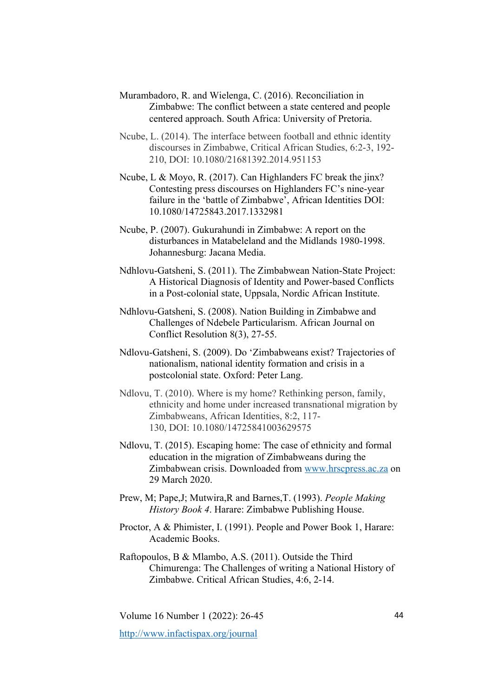- Murambadoro, R. and Wielenga, C. (2016). Reconciliation in Zimbabwe: The conflict between a state centered and people centered approach. South Africa: University of Pretoria.
- Ncube, L. (2014). The interface between football and ethnic identity discourses in Zimbabwe, Critical African Studies, 6:2-3, 192- 210, DOI: 10.1080/21681392.2014.951153
- Ncube, L & Moyo, R. (2017). Can Highlanders FC break the jinx? Contesting press discourses on Highlanders FC's nine-year failure in the 'battle of Zimbabwe', African Identities DOI: 10.1080/14725843.2017.1332981
- Ncube, P. (2007). Gukurahundi in Zimbabwe: A report on the disturbances in Matabeleland and the Midlands 1980-1998. Johannesburg: Jacana Media.
- Ndhlovu-Gatsheni, S. (2011). The Zimbabwean Nation-State Project: A Historical Diagnosis of Identity and Power-based Conflicts in a Post-colonial state, Uppsala, Nordic African Institute.
- Ndhlovu-Gatsheni, S. (2008). Nation Building in Zimbabwe and Challenges of Ndebele Particularism. African Journal on Conflict Resolution 8(3), 27-55.
- Ndlovu-Gatsheni, S. (2009). Do 'Zimbabweans exist? Trajectories of nationalism, national identity formation and crisis in a postcolonial state. Oxford: Peter Lang.
- Ndlovu, T. (2010). Where is my home? Rethinking person, family, ethnicity and home under increased transnational migration by Zimbabweans, African Identities, 8:2, 117- 130, DOI: 10.1080/14725841003629575
- Ndlovu, T. (2015). Escaping home: The case of ethnicity and formal education in the migration of Zimbabweans during the Zimbabwean crisis. Downloaded from www.hrscpress.ac.za on 29 March 2020.
- Prew, M; Pape,J; Mutwira,R and Barnes,T. (1993). *People Making History Book 4*. Harare: Zimbabwe Publishing House.
- Proctor, A & Phimister, I. (1991). People and Power Book 1, Harare: Academic Books.
- Raftopoulos, B & Mlambo, A.S. (2011). Outside the Third Chimurenga: The Challenges of writing a National History of Zimbabwe. Critical African Studies, 4:6, 2-14.

Volume 16 Number 1 (2022): 26-45